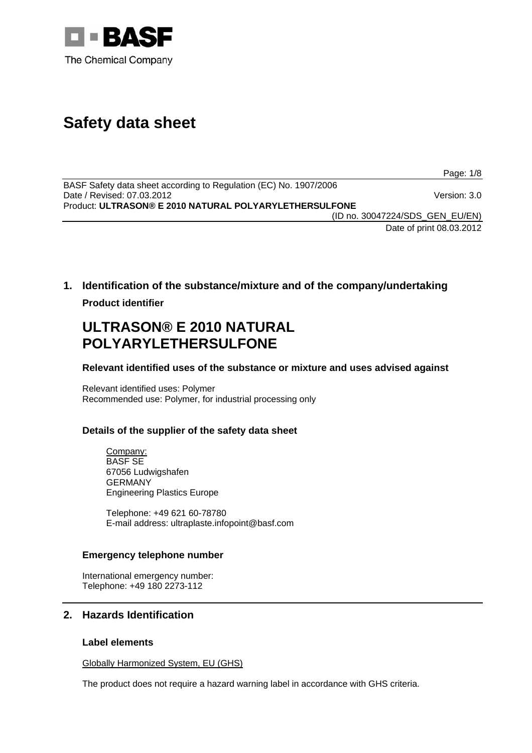

# **Safety data sheet**

Page: 1/8

BASF Safety data sheet according to Regulation (EC) No. 1907/2006 Date / Revised: 07.03.2012 Version: 3.0 Product: **ULTRASON® E 2010 NATURAL POLYARYLETHERSULFONE** 

(ID no. 30047224/SDS\_GEN\_EU/EN) Date of print 08.03.2012

**1. Identification of the substance/mixture and of the company/undertaking Product identifier**

# **ULTRASON® E 2010 NATURAL POLYARYLETHERSULFONE**

# **Relevant identified uses of the substance or mixture and uses advised against**

Relevant identified uses: Polymer Recommended use: Polymer, for industrial processing only

# **Details of the supplier of the safety data sheet**

Company: BASF SE 67056 Ludwigshafen GERMANY Engineering Plastics Europe

Telephone: +49 621 60-78780 E-mail address: ultraplaste.infopoint@basf.com

# **Emergency telephone number**

International emergency number: Telephone: +49 180 2273-112

# **2. Hazards Identification**

# **Label elements**

Globally Harmonized System, EU (GHS)

The product does not require a hazard warning label in accordance with GHS criteria.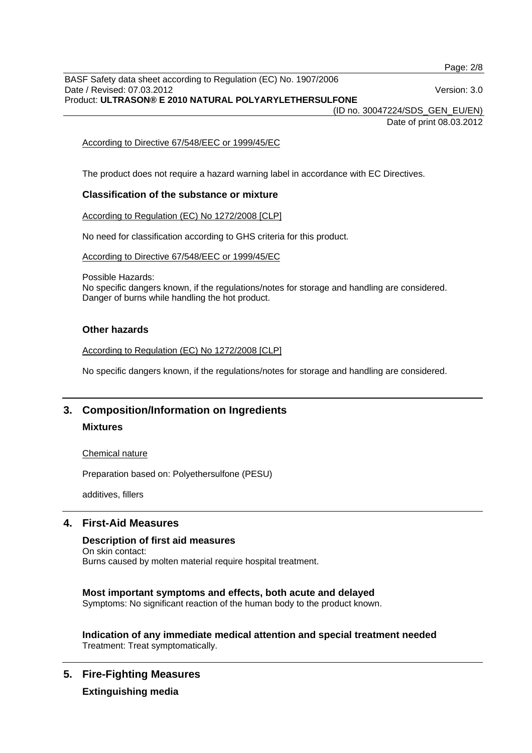Page: 2/8

BASF Safety data sheet according to Regulation (EC) No. 1907/2006 Date / Revised: 07.03.2012 Version: 3.0 Product: **ULTRASON® E 2010 NATURAL POLYARYLETHERSULFONE** 

(ID no. 30047224/SDS\_GEN\_EU/EN)

Date of print 08.03.2012

#### According to Directive 67/548/EEC or 1999/45/EC

The product does not require a hazard warning label in accordance with EC Directives.

## **Classification of the substance or mixture**

According to Regulation (EC) No 1272/2008 [CLP]

No need for classification according to GHS criteria for this product.

According to Directive 67/548/EEC or 1999/45/EC

Possible Hazards: No specific dangers known, if the regulations/notes for storage and handling are considered. Danger of burns while handling the hot product.

# **Other hazards**

According to Regulation (EC) No 1272/2008 [CLP]

No specific dangers known, if the regulations/notes for storage and handling are considered.

# **3. Composition/Information on Ingredients Mixtures**

Chemical nature

Preparation based on: Polyethersulfone (PESU)

additives, fillers

# **4. First-Aid Measures**

## **Description of first aid measures**

On skin contact: Burns caused by molten material require hospital treatment.

## **Most important symptoms and effects, both acute and delayed**

Symptoms: No significant reaction of the human body to the product known.

**Indication of any immediate medical attention and special treatment needed**  Treatment: Treat symptomatically.

# **5. Fire-Fighting Measures**

**Extinguishing media**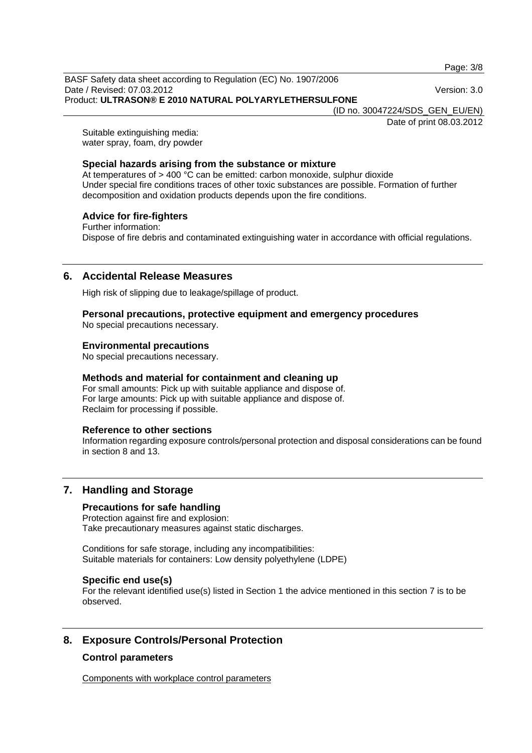Page: 3/8

BASF Safety data sheet according to Regulation (EC) No. 1907/2006 Date / Revised: 07.03.2012 Version: 3.0 Product: **ULTRASON® E 2010 NATURAL POLYARYLETHERSULFONE** 

(ID no. 30047224/SDS\_GEN\_EU/EN)

Date of print 08.03.2012

Suitable extinguishing media: water spray, foam, dry powder

## **Special hazards arising from the substance or mixture**

At temperatures of  $> 400$  °C can be emitted: carbon monoxide, sulphur dioxide Under special fire conditions traces of other toxic substances are possible. Formation of further decomposition and oxidation products depends upon the fire conditions.

# **Advice for fire-fighters**

Further information: Dispose of fire debris and contaminated extinguishing water in accordance with official regulations.

# **6. Accidental Release Measures**

High risk of slipping due to leakage/spillage of product.

# **Personal precautions, protective equipment and emergency procedures**

No special precautions necessary.

#### **Environmental precautions**

No special precautions necessary.

## **Methods and material for containment and cleaning up**

For small amounts: Pick up with suitable appliance and dispose of. For large amounts: Pick up with suitable appliance and dispose of. Reclaim for processing if possible.

## **Reference to other sections**

Information regarding exposure controls/personal protection and disposal considerations can be found in section 8 and 13.

# **7. Handling and Storage**

# **Precautions for safe handling**

Protection against fire and explosion: Take precautionary measures against static discharges.

Conditions for safe storage, including any incompatibilities: Suitable materials for containers: Low density polyethylene (LDPE)

## **Specific end use(s)**

For the relevant identified use(s) listed in Section 1 the advice mentioned in this section 7 is to be observed.

# **8. Exposure Controls/Personal Protection**

## **Control parameters**

Components with workplace control parameters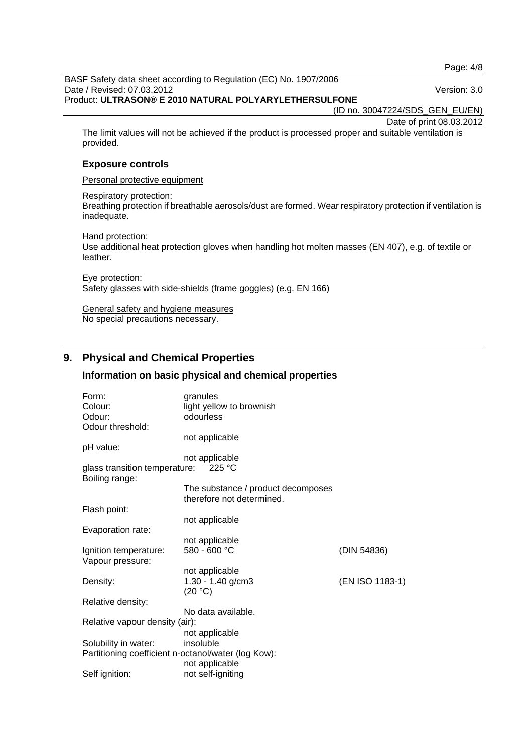Page: 4/8

BASF Safety data sheet according to Regulation (EC) No. 1907/2006 Date / Revised: 07.03.2012 Version: 3.0 Product: **ULTRASON® E 2010 NATURAL POLYARYLETHERSULFONE** 

(ID no. 30047224/SDS\_GEN\_EU/EN)

Date of print 08.03.2012

The limit values will not be achieved if the product is processed proper and suitable ventilation is provided.

#### **Exposure controls**

#### Personal protective equipment

Respiratory protection:

Breathing protection if breathable aerosols/dust are formed. Wear respiratory protection if ventilation is inadequate.

Hand protection:

Use additional heat protection gloves when handling hot molten masses (EN 407), e.g. of textile or leather.

Eye protection: Safety glasses with side-shields (frame goggles) (e.g. EN 166)

General safety and hygiene measures No special precautions necessary.

# **9. Physical and Chemical Properties**

## **Information on basic physical and chemical properties**

| Form:<br>Colour:<br>Odour:<br>Odour threshold:      | granules<br>light yellow to brownish<br>odourless               |                 |
|-----------------------------------------------------|-----------------------------------------------------------------|-----------------|
| pH value:                                           | not applicable                                                  |                 |
|                                                     | not applicable                                                  |                 |
| glass transition temperature:<br>Boiling range:     | 225 °C                                                          |                 |
|                                                     | The substance / product decomposes<br>therefore not determined. |                 |
| Flash point:                                        |                                                                 |                 |
|                                                     | not applicable                                                  |                 |
| Evaporation rate:                                   |                                                                 |                 |
|                                                     | not applicable                                                  |                 |
| Ignition temperature:                               | 580 - 600 °C                                                    | (DIN 54836)     |
| Vapour pressure:                                    |                                                                 |                 |
|                                                     | not applicable                                                  |                 |
| Density:                                            | 1.30 - 1.40 g/cm3<br>(20 °C)                                    | (EN ISO 1183-1) |
| Relative density:                                   |                                                                 |                 |
|                                                     | No data available.                                              |                 |
| Relative vapour density (air):                      |                                                                 |                 |
|                                                     | not applicable                                                  |                 |
| Solubility in water:                                | insoluble                                                       |                 |
| Partitioning coefficient n-octanol/water (log Kow): |                                                                 |                 |
|                                                     | not applicable                                                  |                 |
| Self ignition:                                      | not self-igniting                                               |                 |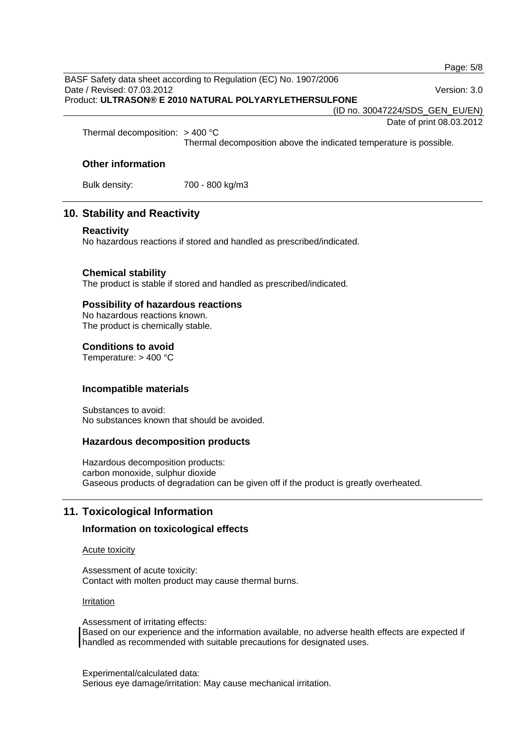BASF Safety data sheet according to Regulation (EC) No. 1907/2006 Date / Revised: 07.03.2012 Version: 3.0 Product: **ULTRASON® E 2010 NATURAL POLYARYLETHERSULFONE**  (ID no. 30047224/SDS\_GEN\_EU/EN)

Date of print 08.03.2012

Thermal decomposition: > 400 °C

Thermal decomposition above the indicated temperature is possible.

## **Other information**

Bulk density: 700 - 800 kg/m3

# **10. Stability and Reactivity**

#### **Reactivity**

No hazardous reactions if stored and handled as prescribed/indicated.

## **Chemical stability**

The product is stable if stored and handled as prescribed/indicated.

## **Possibility of hazardous reactions**

No hazardous reactions known. The product is chemically stable.

## **Conditions to avoid**

Temperature: > 400 °C

## **Incompatible materials**

Substances to avoid: No substances known that should be avoided.

## **Hazardous decomposition products**

Hazardous decomposition products: carbon monoxide, sulphur dioxide Gaseous products of degradation can be given off if the product is greatly overheated.

# **11. Toxicological Information**

## **Information on toxicological effects**

#### Acute toxicity

Assessment of acute toxicity: Contact with molten product may cause thermal burns.

#### Irritation

Assessment of irritating effects:

Based on our experience and the information available, no adverse health effects are expected if handled as recommended with suitable precautions for designated uses.

Experimental/calculated data:

Serious eye damage/irritation: May cause mechanical irritation.

Page: 5/8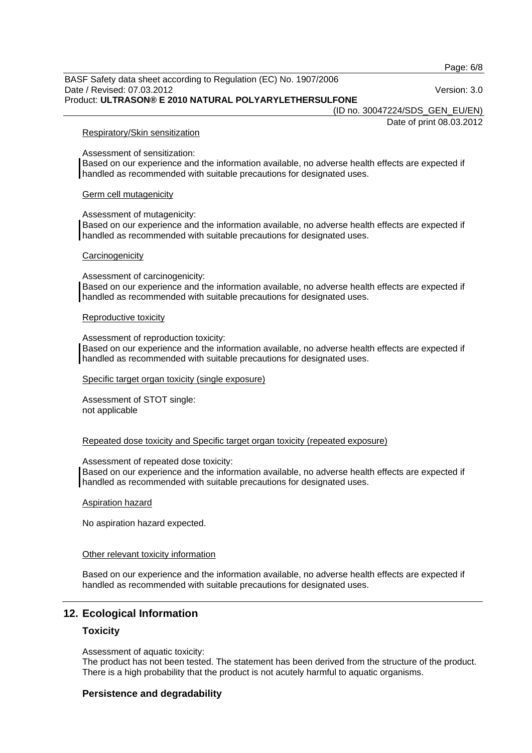Page: 6/8

BASF Safety data sheet according to Regulation (EC) No. 1907/2006 Date / Revised: 07.03.2012 Version: 3.0 Product: **ULTRASON® E 2010 NATURAL POLYARYLETHERSULFONE** 

(ID no. 30047224/SDS\_GEN\_EU/EN)

Date of print 08.03.2012

#### Respiratory/Skin sensitization

Assessment of sensitization:

Based on our experience and the information available, no adverse health effects are expected if handled as recommended with suitable precautions for designated uses.

#### Germ cell mutagenicity

Assessment of mutagenicity:

Based on our experience and the information available, no adverse health effects are expected if handled as recommended with suitable precautions for designated uses.

#### **Carcinogenicity**

Assessment of carcinogenicity:

Based on our experience and the information available, no adverse health effects are expected if handled as recommended with suitable precautions for designated uses.

#### Reproductive toxicity

Assessment of reproduction toxicity:

Based on our experience and the information available, no adverse health effects are expected if handled as recommended with suitable precautions for designated uses.

Specific target organ toxicity (single exposure)

Assessment of STOT single: not applicable

#### Repeated dose toxicity and Specific target organ toxicity (repeated exposure)

#### Assessment of repeated dose toxicity:

Based on our experience and the information available, no adverse health effects are expected if handled as recommended with suitable precautions for designated uses.

Aspiration hazard

No aspiration hazard expected.

#### Other relevant toxicity information

Based on our experience and the information available, no adverse health effects are expected if handled as recommended with suitable precautions for designated uses.

# **12. Ecological Information**

## **Toxicity**

Assessment of aquatic toxicity:

The product has not been tested. The statement has been derived from the structure of the product. There is a high probability that the product is not acutely harmful to aquatic organisms.

#### **Persistence and degradability**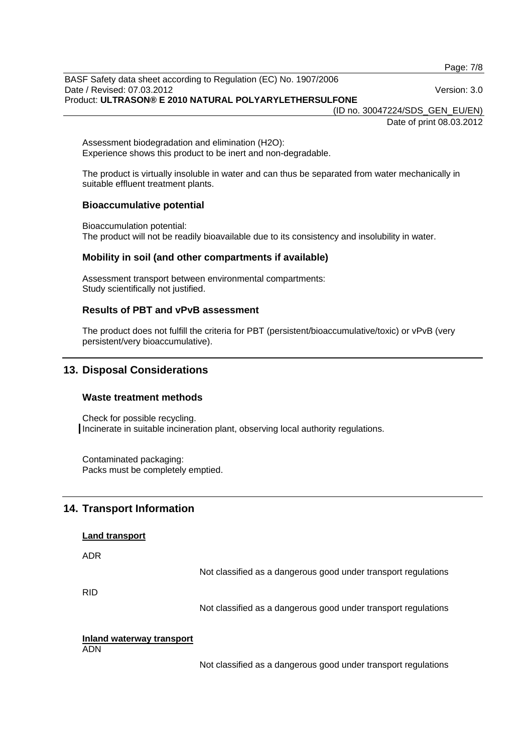BASF Safety data sheet according to Regulation (EC) No. 1907/2006 Date / Revised: 07.03.2012 Version: 3.0 Product: **ULTRASON® E 2010 NATURAL POLYARYLETHERSULFONE** 

(ID no. 30047224/SDS\_GEN\_EU/EN)

Date of print 08.03.2012

Page: 7/8

Assessment biodegradation and elimination (H2O): Experience shows this product to be inert and non-degradable.

The product is virtually insoluble in water and can thus be separated from water mechanically in suitable effluent treatment plants.

#### **Bioaccumulative potential**

Bioaccumulation potential: The product will not be readily bioavailable due to its consistency and insolubility in water.

#### **Mobility in soil (and other compartments if available)**

Assessment transport between environmental compartments: Study scientifically not justified.

## **Results of PBT and vPvB assessment**

The product does not fulfill the criteria for PBT (persistent/bioaccumulative/toxic) or vPvB (very persistent/very bioaccumulative).

# **13. Disposal Considerations**

# **Waste treatment methods**

Check for possible recycling. Incinerate in suitable incineration plant, observing local authority regulations.

Contaminated packaging: Packs must be completely emptied.

# **14. Transport Information**

#### **Land transport**

ADR

Not classified as a dangerous good under transport regulations

RID

Not classified as a dangerous good under transport regulations

#### **Inland waterway transport**

ADN

Not classified as a dangerous good under transport regulations